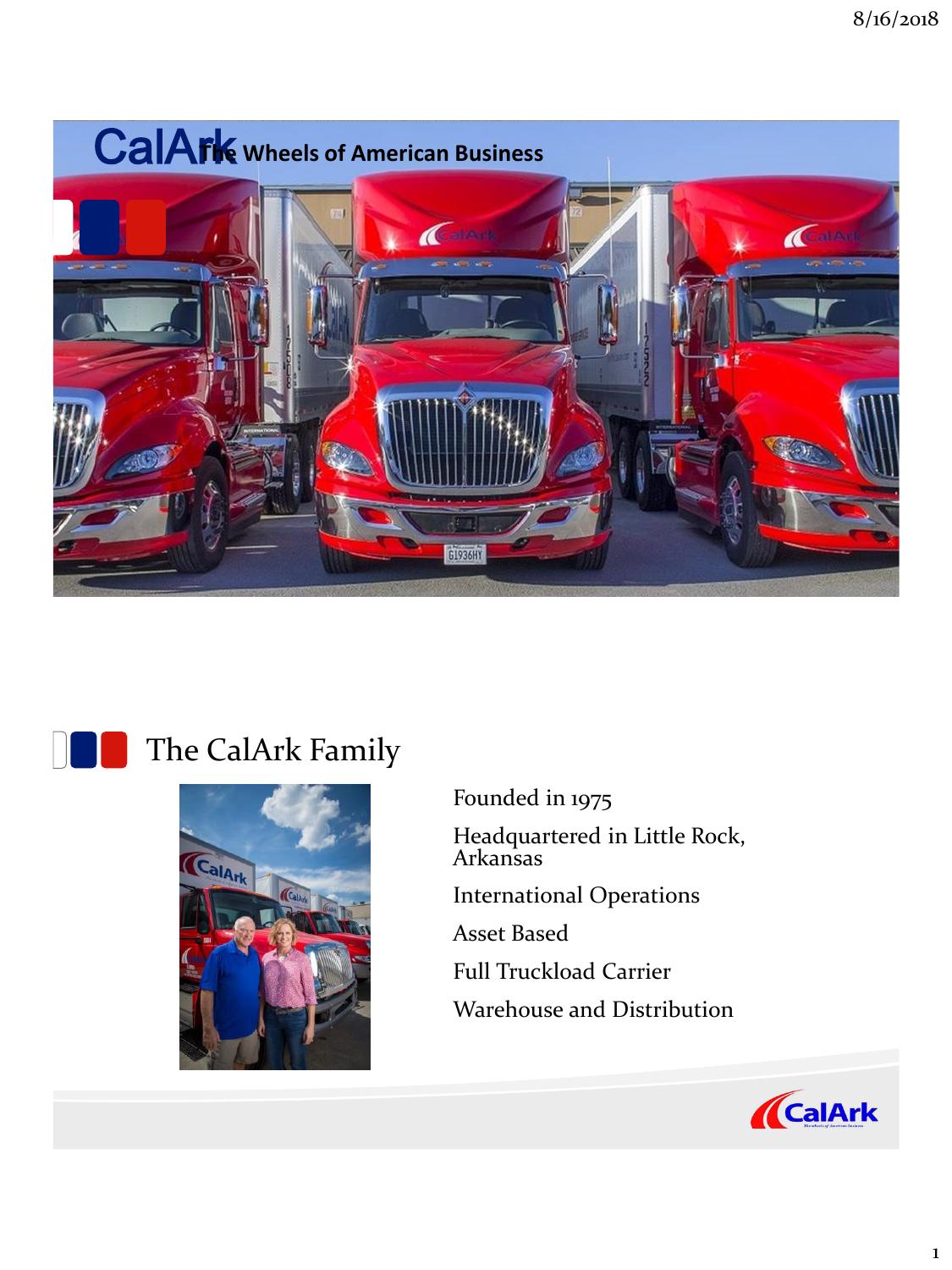



# The CalArk Family



Founded in 1975 Headquartered in Little Rock, Arkansas International Operations Asset Based Full Truckload Carrier Warehouse and Distribution

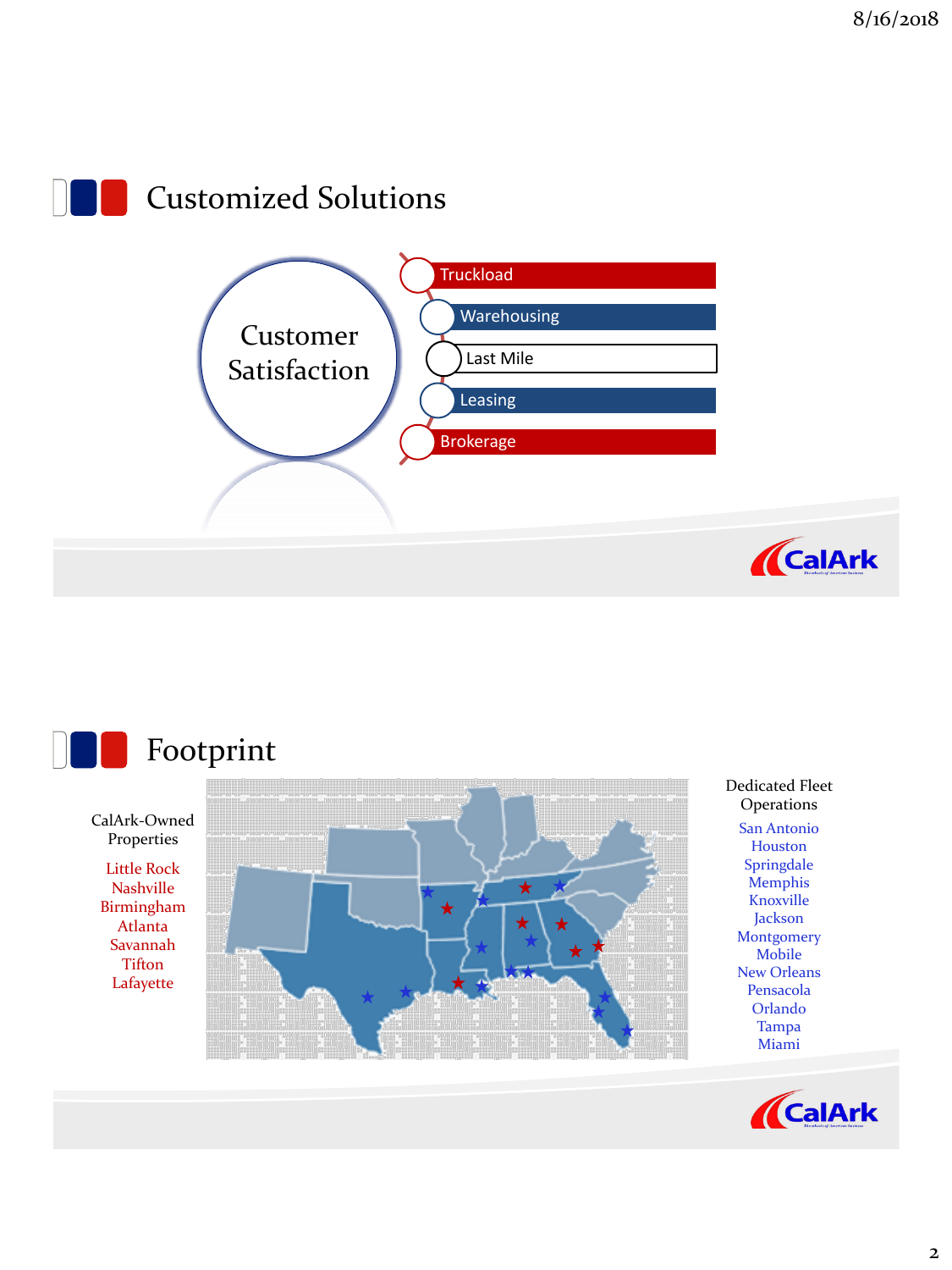



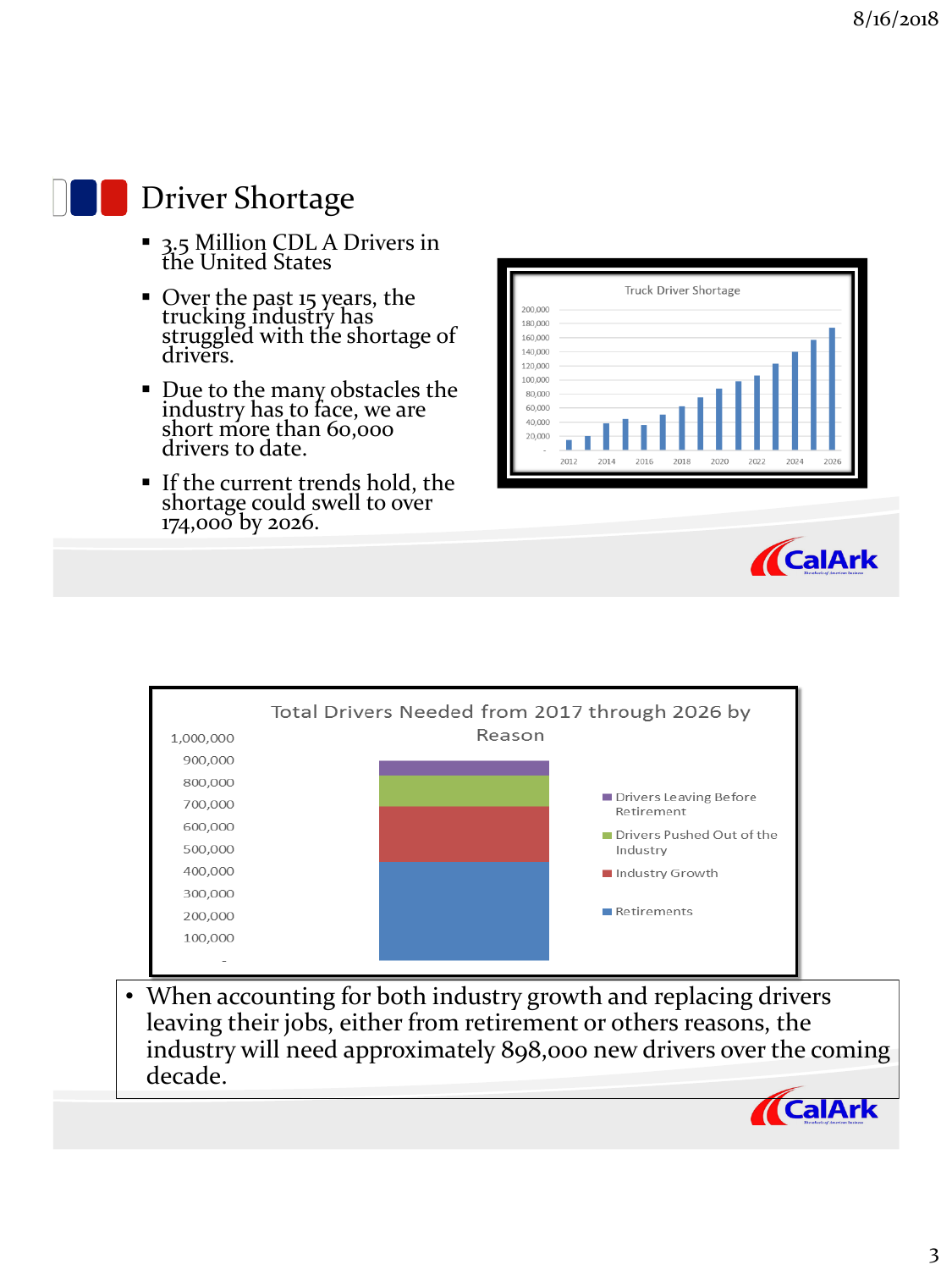

#### Driver Shortage

- <sup>3</sup>.5 Million CDL A Drivers in the United States
- Over the past 15 years, the trucking industry has struggled with the shortage of drivers.
- Due to the many obstacles the industry has to face, we are short more than 60,000 drivers to date.
- If the current trends hold, the shortage could swell to over 174,000 by 2026.





**ACalArk** 



leaving their jobs, either from retirement or others reasons, the industry will need approximately 898,000 new drivers over the coming decade.

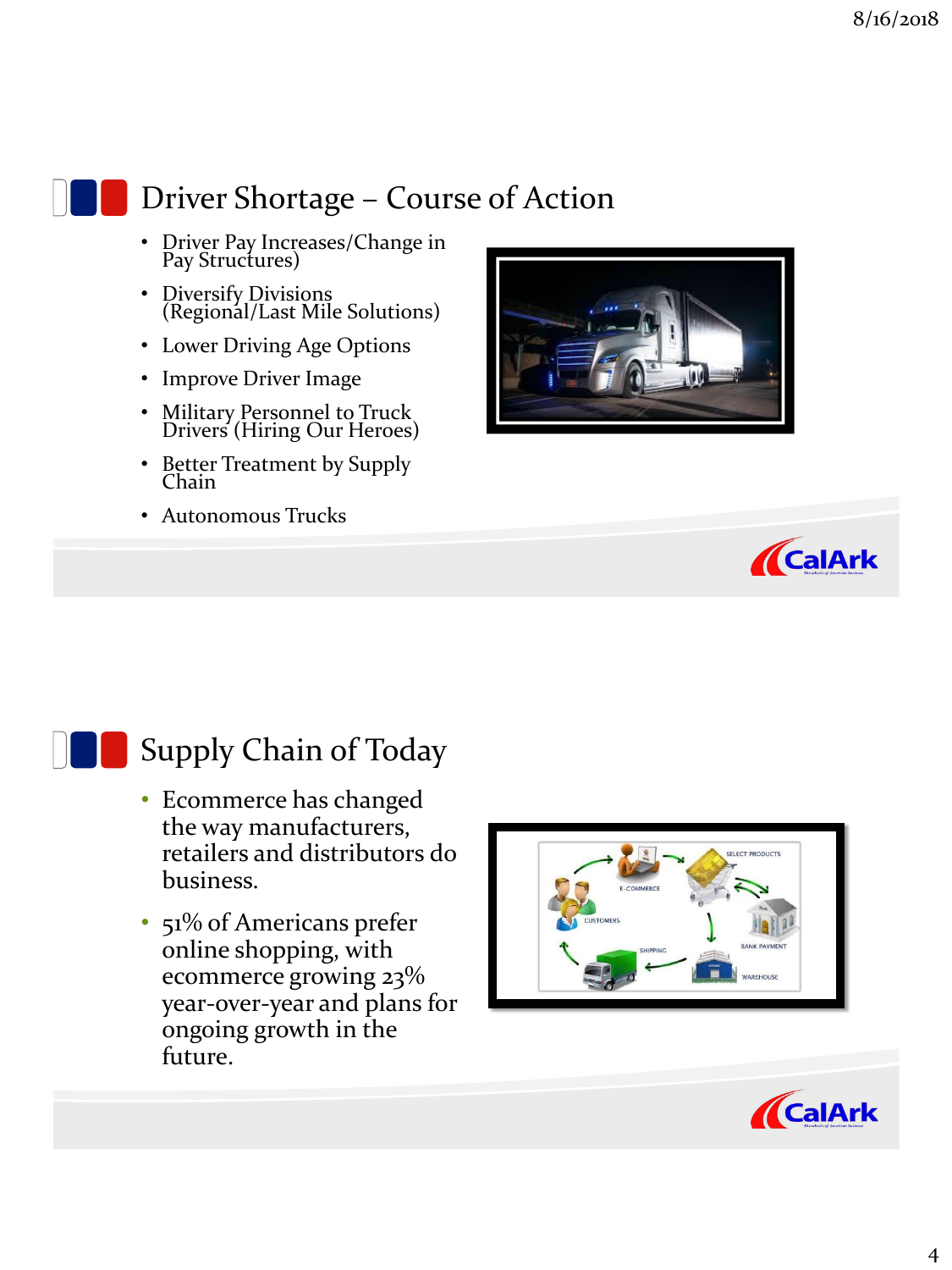

## Driver Shortage – Course of Action

- Driver Pay Increases/Change in Pay Structures)
- Diversify Divisions (Regional/Last Mile Solutions)
- Lower Driving Age Options
- Improve Driver Image
- Military Personnel to Truck Drivers (Hiring Our Heroes)
- Better Treatment by Supply Chain
- Autonomous Trucks





#### Supply Chain of Today

- Ecommerce has changed the way manufacturers, retailers and distributors do business.
- 51% of Americans prefer online shopping, with ecommerce growing 23% year-over-year and plans for ongoing growth in the future.